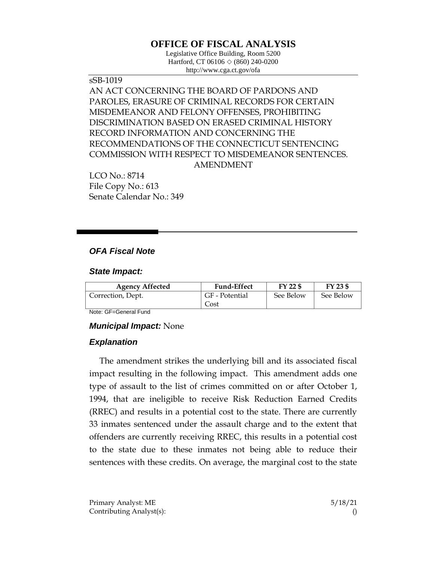# **OFFICE OF FISCAL ANALYSIS**

Legislative Office Building, Room 5200 Hartford, CT 06106 ◇ (860) 240-0200 http://www.cga.ct.gov/ofa

sSB-1019 AN ACT CONCERNING THE BOARD OF PARDONS AND PAROLES, ERASURE OF CRIMINAL RECORDS FOR CERTAIN MISDEMEANOR AND FELONY OFFENSES, PROHIBITING DISCRIMINATION BASED ON ERASED CRIMINAL HISTORY RECORD INFORMATION AND CONCERNING THE RECOMMENDATIONS OF THE CONNECTICUT SENTENCING COMMISSION WITH RESPECT TO MISDEMEANOR SENTENCES. AMENDMENT

LCO No.: 8714 File Copy No.: 613 Senate Calendar No.: 349

## *OFA Fiscal Note*

#### *State Impact:*

| <b>Agency Affected</b> | <b>Fund-Effect</b> | FY 22 \$  | FY 23 \$  |
|------------------------|--------------------|-----------|-----------|
| Correction, Dept.      | GF - Potential     | See Below | See Below |
|                        | Cost               |           |           |

Note: GF=General Fund

#### *Municipal Impact:* None

#### *Explanation*

The amendment strikes the underlying bill and its associated fiscal impact resulting in the following impact. This amendment adds one type of assault to the list of crimes committed on or after October 1, 1994, that are ineligible to receive Risk Reduction Earned Credits (RREC) and results in a potential cost to the state. There are currently 33 inmates sentenced under the assault charge and to the extent that offenders are currently receiving RREC, this results in a potential cost to the state due to these inmates not being able to reduce their sentences with these credits. On average, the marginal cost to the state